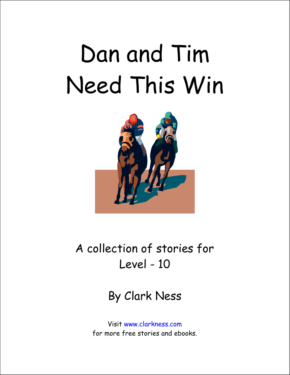## Dan and Tim Need This Win



#### A collection of stories for Level - 10

By Clark Ness

Visit www.clarkness.com for more free stories and ebooks.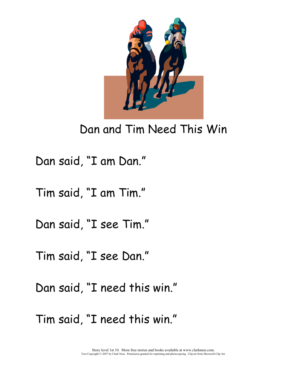

#### Dan and Tim Need This Win

Dan said, "I am Dan."

Tim said, "I am Tim."

Dan said, "I see Tim."

Tim said, "I see Dan."

Dan said, "I need this win."

Tim said, "I need this win."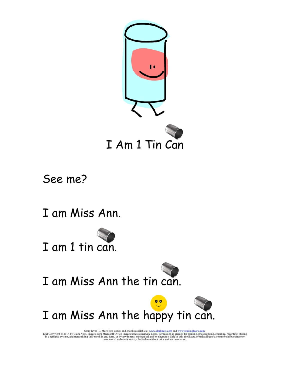

See me?

I am Miss Ann.



I am Miss Ann the tin can.

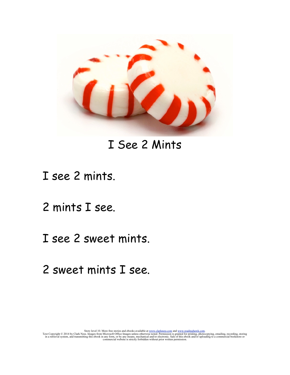

#### I See 2 Mints

#### I see 2 mints.

- 2 mints I see.
- I see 2 sweet mints.
- 2 sweet mints I see.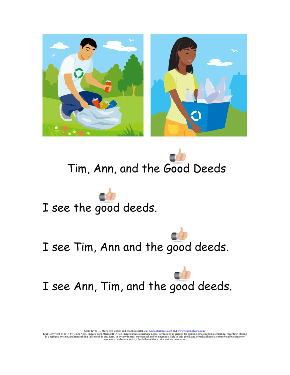





I see Tim, Ann and the good deeds.

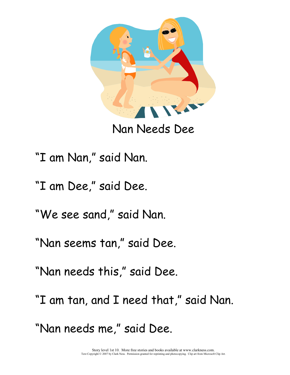

Nan Needs Dee

"I am Nan," said Nan.

"I am Dee," said Dee.

"We see sand," said Nan.

"Nan seems tan," said Dee.

"Nan needs this," said Dee.

"I am tan, and I need that," said Nan.

"Nan needs me," said Dee.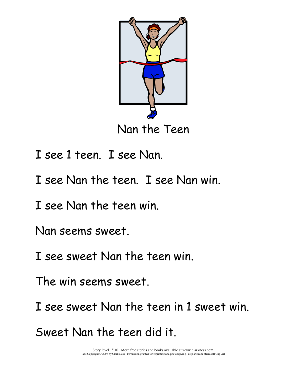

Nan the Teen

- I see 1 teen. I see Nan.
- I see Nan the teen. I see Nan win.

I see Nan the teen win.

Nan seems sweet.

I see sweet Nan the teen win.

The win seems sweet.

I see sweet Nan the teen in 1 sweet win.

Sweet Nan the teen did it.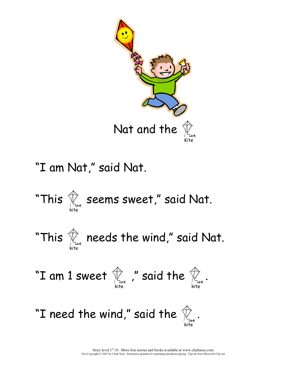

"I am Nat," said Nat.

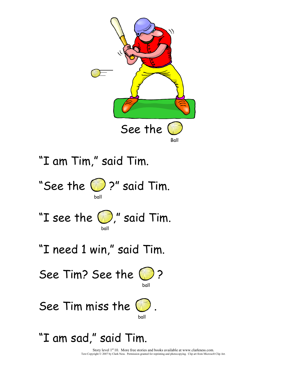

Story level  $1<sup>st</sup> 10$ . More free stories and books available at www.clarkness.com. Text Copyright © 2007 by Clark Ness. Permission granted for reprinting and photocopying. Clip art from Microsoft Clip Art.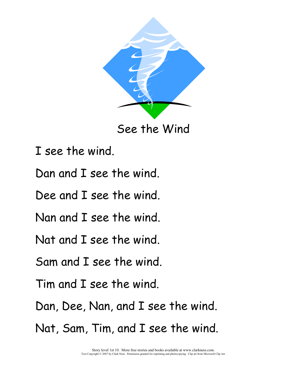

See the Wind

- I see the wind.
- Dan and I see the wind.
- Dee and I see the wind.
- Nan and I see the wind.
- Nat and I see the wind.
- Sam and I see the wind.
- Tim and I see the wind.
- Dan, Dee, Nan, and I see the wind.
- Nat, Sam, Tim, and I see the wind.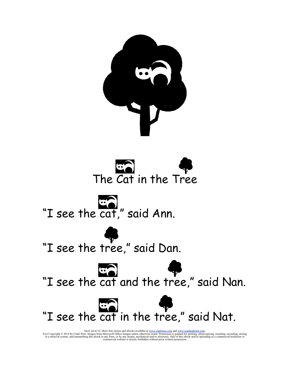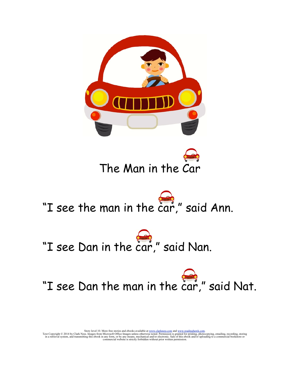



### "I see the man in the car," said Ann.



### "I see Dan the man in the car," said Nat.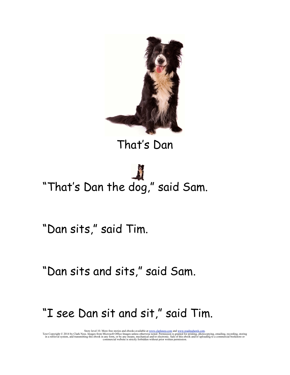

#### That's Dan

# "That's Dan the dog," said Sam.

"Dan sits," said Tim.

"Dan sits and sits," said Sam.

#### "I see Dan sit and sit," said Tim.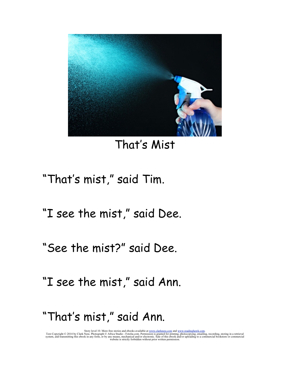

#### That's Mist

#### "That's mist," said Tim.

"I see the mist," said Dee.

"See the mist?" said Dee.

"I see the mist," said Ann.

#### "That's mist," said Ann.

Story level 10. More free stories and ebooks available at <u>www.clarkness.com</u> and <u>www.readinghawk.com</u>.<br>Text Copyright © 2014 by Clark Ness. Photograph © Africa Studio - Fotolia.com. Permission is granted for printing, p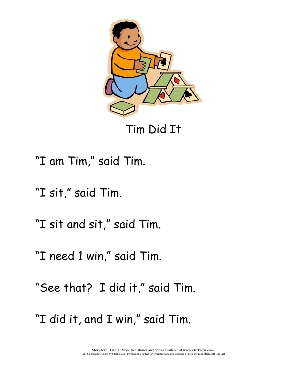

Tim Did It

"I am Tim," said Tim.

"I sit," said Tim.

"I sit and sit," said Tim.

"I need 1 win," said Tim.

"See that? I did it," said Tim.

"I did it, and I win," said Tim.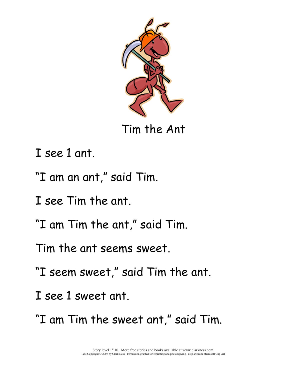

Tim the Ant

I see 1 ant.

"I am an ant," said Tim.

I see Tim the ant.

"I am Tim the ant," said Tim.

Tim the ant seems sweet.

"I seem sweet," said Tim the ant.

I see 1 sweet ant.

"I am Tim the sweet ant," said Tim.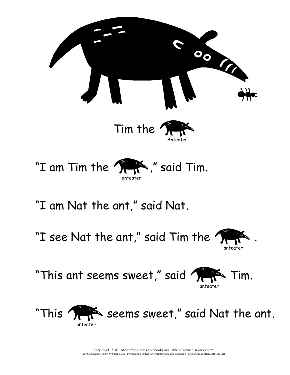